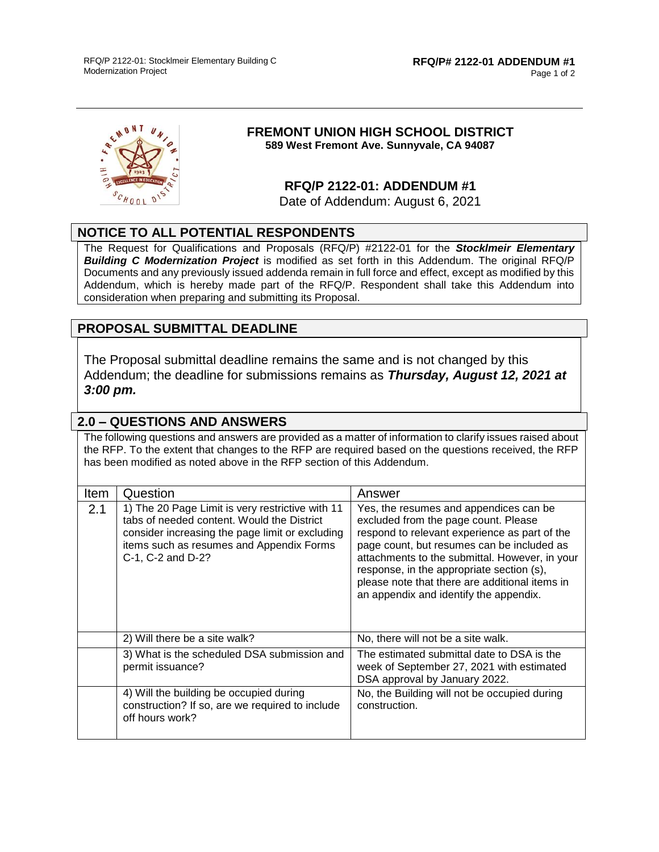

#### **FREMONT UNION HIGH SCHOOL DISTRICT 589 West Fremont Ave. Sunnyvale, CA 94087**

#### **RFQ/P 2122-01: ADDENDUM #1**

Date of Addendum: August 6, 2021

## **NOTICE TO ALL POTENTIAL RESPONDENTS**

The Request for Qualifications and Proposals (RFQ/P) #2122-01 for the *Stocklmeir Elementary Building C Modernization Project* is modified as set forth in this Addendum. The original RFQ/P Documents and any previously issued addenda remain in full force and effect, except as modified by this Addendum, which is hereby made part of the RFQ/P. Respondent shall take this Addendum into consideration when preparing and submitting its Proposal.

## **PROPOSAL SUBMITTAL DEADLINE**

The Proposal submittal deadline remains the same and is not changed by this Addendum; the deadline for submissions remains as *Thursday, August 12, 2021 at 3:00 pm.*

### **2.0 – QUESTIONS AND ANSWERS**

The following questions and answers are provided as a matter of information to clarify issues raised about the RFP. To the extent that changes to the RFP are required based on the questions received, the RFP has been modified as noted above in the RFP section of this Addendum.

| <b>Item</b> | Question                                                                                                                                                                                                           | Answer                                                                                                                                                                                                                                                                                                                                                                   |  |
|-------------|--------------------------------------------------------------------------------------------------------------------------------------------------------------------------------------------------------------------|--------------------------------------------------------------------------------------------------------------------------------------------------------------------------------------------------------------------------------------------------------------------------------------------------------------------------------------------------------------------------|--|
| 2.1         | 1) The 20 Page Limit is very restrictive with 11<br>tabs of needed content. Would the District<br>consider increasing the page limit or excluding<br>items such as resumes and Appendix Forms<br>C-1, C-2 and D-2? | Yes, the resumes and appendices can be<br>excluded from the page count. Please<br>respond to relevant experience as part of the<br>page count, but resumes can be included as<br>attachments to the submittal. However, in your<br>response, in the appropriate section (s),<br>please note that there are additional items in<br>an appendix and identify the appendix. |  |
|             | 2) Will there be a site walk?                                                                                                                                                                                      | No, there will not be a site walk.                                                                                                                                                                                                                                                                                                                                       |  |
|             | 3) What is the scheduled DSA submission and<br>permit issuance?                                                                                                                                                    | The estimated submittal date to DSA is the<br>week of September 27, 2021 with estimated<br>DSA approval by January 2022.                                                                                                                                                                                                                                                 |  |
|             | 4) Will the building be occupied during<br>construction? If so, are we required to include<br>off hours work?                                                                                                      | No, the Building will not be occupied during<br>construction.                                                                                                                                                                                                                                                                                                            |  |